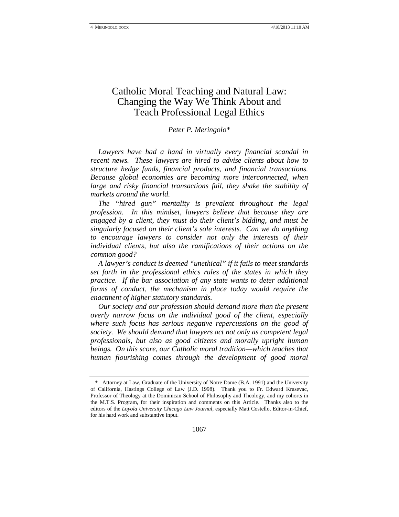# Catholic Moral Teaching and Natural Law: Changing the Way We Think About and Teach Professional Legal Ethics

### *Peter P. Meringolo*[\\*](#page-0-0)

*Lawyers have had a hand in virtually every financial scandal in recent news. These lawyers are hired to advise clients about how to structure hedge funds, financial products, and financial transactions. Because global economies are becoming more interconnected, when*  large and risky financial transactions fail, they shake the stability of *markets around the world.*

*The "hired gun" mentality is prevalent throughout the legal profession. In this mindset, lawyers believe that because they are engaged by a client, they must do their client's bidding, and must be singularly focused on their client's sole interests. Can we do anything to encourage lawyers to consider not only the interests of their individual clients, but also the ramifications of their actions on the common good?*

*A lawyer's conduct is deemed "unethical" if it fails to meet standards set forth in the professional ethics rules of the states in which they practice. If the bar association of any state wants to deter additional forms of conduct, the mechanism in place today would require the enactment of higher statutory standards.*

*Our society and our profession should demand more than the present overly narrow focus on the individual good of the client, especially where such focus has serious negative repercussions on the good of society. We should demand that lawyers act not only as competent legal professionals, but also as good citizens and morally upright human beings. On this score, our Catholic moral tradition—which teaches that human flourishing comes through the development of good moral* 

<span id="page-0-1"></span><span id="page-0-0"></span><sup>\*</sup> Attorney at Law, Graduate of the University of Notre Dame (B.A. 1991) and the University of California, Hastings College of Law (J.D. 1998). Thank you to Fr. Edward Krasevac, Professor of Theology at the Dominican School of Philosophy and Theology, and my cohorts in the M.T.S. Program, for their inspiration and comments on this Article. Thanks also to the editors of the *Loyola University Chicago Law Journal*, especially Matt Costello, Editor-in-Chief, for his hard work and substantive input.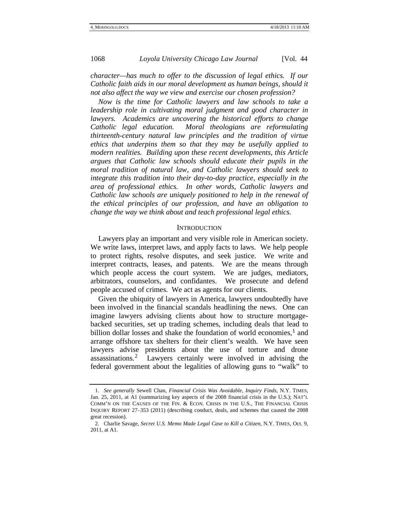*character—has much to offer to the discussion of legal ethics. If our Catholic faith aids in our moral development as human beings, should it not also affect the way we view and exercise our chosen profession?*

*Now is the time for Catholic lawyers and law schools to take a leadership role in cultivating moral judgment and good character in lawyers. Academics are uncovering the historical efforts to change Catholic legal education. Moral theologians are reformulating thirteenth-century natural law principles and the tradition of virtue ethics that underpins them so that they may be usefully applied to modern realities. Building upon these recent developments, this Article argues that Catholic law schools should educate their pupils in the moral tradition of natural law, and Catholic lawyers should seek to integrate this tradition into their day-to-day practice, especially in the area of professional ethics. In other words, Catholic lawyers and Catholic law schools are uniquely positioned to help in the renewal of the ethical principles of our profession, and have an obligation to change the way we think about and teach professional legal ethics.*

### **INTRODUCTION**

Lawyers play an important and very visible role in American society. We write laws, interpret laws, and apply facts to laws. We help people to protect rights, resolve disputes, and seek justice. We write and interpret contracts, leases, and patents. We are the means through which people access the court system. We are judges, mediators, arbitrators, counselors, and confidantes. We prosecute and defend people accused of crimes. We act as agents for our clients.

<span id="page-1-1"></span>Given the ubiquity of lawyers in America, lawyers undoubtedly have been involved in the financial scandals headlining the news. One can imagine lawyers advising clients about how to structure mortgagebacked securities, set up trading schemes, including deals that lead to billion dollar losses and shake the foundation of world economies, [1](#page-0-1) and arrange offshore tax shelters for their client's wealth. We have seen lawyers advise presidents about the use of torture and drone assassinations.[2](#page-1-0) Lawyers certainly were involved in advising the federal government about the legalities of allowing guns to "walk" to

<sup>1.</sup> *See generally* Sewell Chan, *Financial Crisis Was Avoidable, Inquiry Finds*, N.Y. TIMES, Jan. 25, 2011, at A1 (summarizing key aspects of the 2008 financial crisis in the U.S.); NAT'L COMM'N ON THE CAUSES OF THE FIN. & ECON. CRISIS IN THE U.S., THE FINANCIAL CRISIS INQUIRY REPORT 27–353 (2011) (describing conduct, deals, and schemes that caused the 2008 great recession).

<span id="page-1-0"></span><sup>2.</sup> Charlie Savage, *Secret U.S. Memo Made Legal Case to Kill a Citizen*, N.Y. TIMES, Oct. 9, 2011, at A1.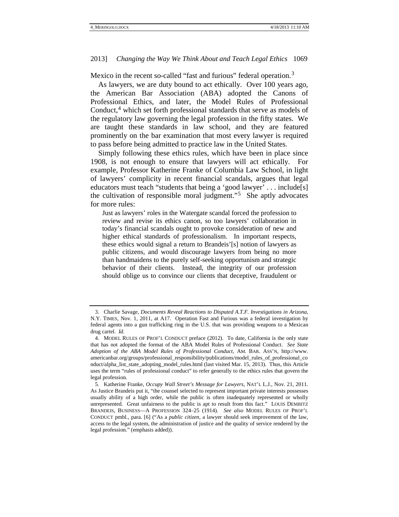Mexico in the recent so-called "fast and furious" federal operation.<sup>[3](#page-1-1)</sup>

As lawyers, we are duty bound to act ethically. Over 100 years ago, the American Bar Association (ABA) adopted the Canons of Professional Ethics, and later, the Model Rules of Professional Conduct, [4](#page-2-0) which set forth professional standards that serve as models of the regulatory law governing the legal profession in the fifty states. We are taught these standards in law school, and they are featured prominently on the bar examination that most every lawyer is required to pass before being admitted to practice law in the United States.

Simply following these ethics rules, which have been in place since 1908, is not enough to ensure that lawyers will act ethically. For example, Professor Katherine Franke of Columbia Law School, in light of lawyers' complicity in recent financial scandals, argues that legal educators must teach "students that being a 'good lawyer' . . . include[s] the cultivation of responsible moral judgment."[5](#page-2-1) She aptly advocates for more rules:

<span id="page-2-2"></span>Just as lawyers' roles in the Watergate scandal forced the profession to review and revise its ethics canon, so too lawyers' collaboration in today's financial scandals ought to provoke consideration of new and higher ethical standards of professionalism. In important respects, these ethics would signal a return to Brandeis'[s] notion of lawyers as public citizens, and would discourage lawyers from being no more than handmaidens to the purely self-seeking opportunism and strategic behavior of their clients. Instead, the integrity of our profession should oblige us to convince our clients that deceptive, fraudulent or

<sup>3.</sup> Charlie Savage, *Documents Reveal Reactions to Disputed A.T.F. Investigations in Arizona*, N.Y. TIMES, Nov. 1, 2011, at A17. Operation Fast and Furious was a federal investigation by federal agents into a gun trafficking ring in the U.S. that was providing weapons to a Mexican drug cartel. *Id.*

<span id="page-2-0"></span><sup>4.</sup> MODEL RULES OF PROF'L CONDUCT preface (2012). To date, California is the only state that has not adopted the format of the ABA Model Rules of Professional Conduct. *See State Adoption of the ABA Model Rules of Professional Conduct*, AM. BAR. ASS'N, http://www. americanbar.org/groups/professional\_responsibility/publications/model\_rules\_of\_professional\_co nduct/alpha\_list\_state\_adopting\_model\_rules.html (last visited Mar. 15, 2013). Thus, this Article uses the term "rules of professional conduct" to refer generally to the ethics rules that govern the legal profession.

<span id="page-2-3"></span><span id="page-2-1"></span><sup>5.</sup> Katherine Franke, *Occupy Wall Street's Message for Lawyers*, NAT'L L.J., Nov. 21, 2011. As Justice Brandeis put it, "the counsel selected to represent important private interests possesses usually ability of a high order, while the public is often inadequately represented or wholly unrepresented. Great unfairness to the public is apt to result from this fact." LOUIS DEMBITZ BRANDEIS, BUSINESS—A PROFESSION 324–25 (1914). *See also* MODEL RULES OF PROF'L CONDUCT pmbl., para. [6] ("As a *public citizen*, a lawyer should seek improvement of the law, access to the legal system, the administration of justice and the quality of service rendered by the legal profession." (emphasis added)).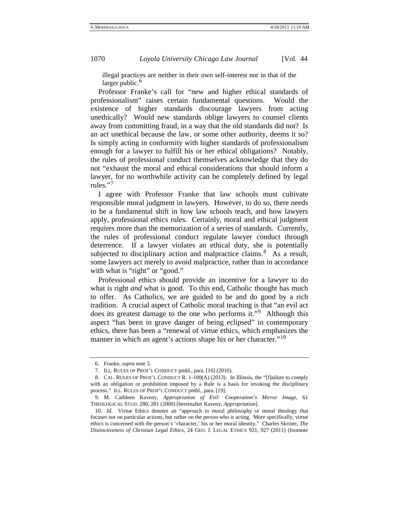illegal practices are neither in their own self-interest nor in that of the larger public.<sup>[6](#page-2-3)</sup>

Professor Franke's call for "new and higher ethical standards of professionalism" raises certain fundamental questions. Would the existence of higher standards discourage lawyers from acting unethically? Would new standards oblige lawyers to counsel clients away from committing fraud, in a way that the old standards did not? Is an act unethical because the law, or some other authority, deems it so? Is simply acting in conformity with higher standards of professionalism enough for a lawyer to fulfill his or her ethical obligations? Notably, the rules of professional conduct themselves acknowledge that they do not "exhaust the moral and ethical considerations that should inform a lawyer, for no worthwhile activity can be completely defined by legal rules."[7](#page-3-0)

I agree with Professor Franke that law schools must cultivate responsible moral judgment in lawyers. However, to do so, there needs to be a fundamental shift in how law schools teach, and how lawyers apply, professional ethics rules. Certainly, moral and ethical judgment requires more than the memorization of a series of standards. Currently, the rules of professional conduct regulate lawyer conduct through deterrence. If a lawyer violates an ethical duty, she is potentially subjected to disciplinary action and malpractice claims.<sup>8</sup> As a result, some lawyers act merely to avoid malpractice, rather than in accordance with what is "right" or "good."

<span id="page-3-5"></span>Professional ethics should provide an incentive for a lawyer to do what is right *and* what is good. To this end, Catholic thought has much to offer. As Catholics, we are guided to be and do good by a rich tradition. A crucial aspect of Catholic moral teaching is that "an evil act does its greatest damage to the one who performs it."<sup>[9](#page-3-2)</sup> Although this aspect "has been in grave danger of being eclipsed" in contemporary ethics, there has been a "renewal of virtue ethics, which emphasizes the manner in which an agent's actions shape his or her character."<sup>[10](#page-3-3)</sup>

<sup>6.</sup> Franke, *supra* not[e 5.](#page-2-2)

<sup>7.</sup> ILL. RULES OF PROF'L CONDUCT pmbl., para. [16] (2010).

<span id="page-3-1"></span><span id="page-3-0"></span><sup>8.</sup> CAL. RULES OF PROF'L CONDUCT R. 1-100(A) (2013). In Illinois, the "[f]ailure to comply with an obligation or prohibition imposed by a Rule is a basis for invoking the disciplinary process." ILL. RULES OF PROF'L CONDUCT pmbl., para. [19].

<span id="page-3-4"></span><span id="page-3-2"></span><sup>9.</sup> M. Cathleen Kaveny, *Appropriation of Evil: Cooperation's Mirror Image*, 61 THEOLOGICAL STUD. 280, 281 (2000) [hereinafter Kaveny, *Appropriation*].

<span id="page-3-3"></span><sup>10.</sup> *Id.* Virtue Ethics denotes an "approach to moral philosophy or moral theology that focuses not on particular actions, but rather on the person who is acting. More specifically, virtue ethics is concerned with the person's 'character,' his or her moral identity." Charles Skriner, *The Distinctiveness of Christian Legal Ethics*, 24 GEO. J. LEGAL ETHICS 921, 927 (2011) (footnote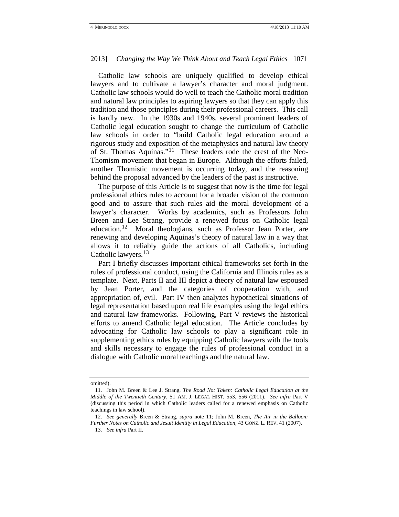Catholic law schools are uniquely qualified to develop ethical lawyers and to cultivate a lawyer's character and moral judgment. Catholic law schools would do well to teach the Catholic moral tradition and natural law principles to aspiring lawyers so that they can apply this tradition and those principles during their professional careers. This call is hardly new. In the 1930s and 1940s, several prominent leaders of Catholic legal education sought to change the curriculum of Catholic law schools in order to "build Catholic legal education around a rigorous study and exposition of the metaphysics and natural law theory of St. Thomas Aquinas."<sup>11</sup> These leaders rode the crest of the Neo-Thomism movement that began in Europe. Although the efforts failed, another Thomistic movement is occurring today, and the reasoning behind the proposal advanced by the leaders of the past is instructive.

<span id="page-4-0"></span>The purpose of this Article is to suggest that now is the time for legal professional ethics rules to account for a broader vision of the common good and to assure that such rules aid the moral development of a lawyer's character. Works by academics, such as Professors John Breen and Lee Strang, provide a renewed focus on Catholic legal education.[12](#page-4-1) Moral theologians, such as Professor Jean Porter, are renewing and developing Aquinas's theory of natural law in a way that allows it to reliably guide the actions of all Catholics, including Catholic lawyers.<sup>[13](#page-4-2)</sup>

<span id="page-4-3"></span>Part I briefly discusses important ethical frameworks set forth in the rules of professional conduct, using the California and Illinois rules as a template. Next, Parts II and III depict a theory of natural law espoused by Jean Porter, and the categories of cooperation with, and appropriation of, evil. Part IV then analyzes hypothetical situations of legal representation based upon real life examples using the legal ethics and natural law frameworks. Following, Part V reviews the historical efforts to amend Catholic legal education*.* The Article concludes by advocating for Catholic law schools to play a significant role in supplementing ethics rules by equipping Catholic lawyers with the tools and skills necessary to engage the rules of professional conduct in a dialogue with Catholic moral teachings and the natural law.

omitted).

<sup>11.</sup> John M. Breen & Lee J. Strang, *The Road Not Taken: Catholic Legal Education at the Middle of the Twentieth Century*, 51 AM. J. LEGAL HIST. 553, 556 (2011). *See infra* Part V (discussing this period in which Catholic leaders called for a renewed emphasis on Catholic teachings in law school).

<span id="page-4-2"></span><span id="page-4-1"></span><sup>12.</sup> *See generally* Breen & Strang, *supra* note [11;](#page-4-0) John M. Breen, *The Air in the Balloon: Further Notes on Catholic and Jesuit Identity in Legal Education*, 43 GONZ. L. REV. 41 (2007).

<sup>13.</sup> *See infra* Part II.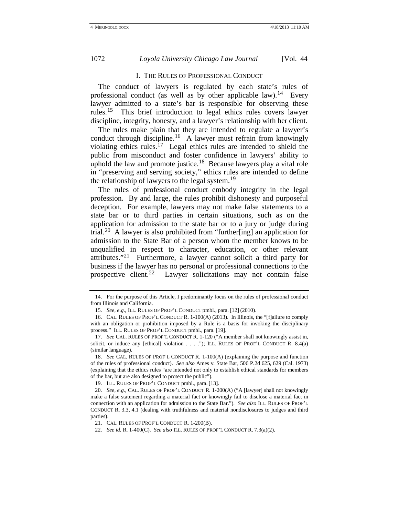### I. THE RULES OF PROFESSIONAL CONDUCT

The conduct of lawyers is regulated by each state's rules of professional conduct (as well as by other applicable law).<sup>[14](#page-4-3)</sup> Every lawyer admitted to a state's bar is responsible for observing these rules.<sup>[15](#page-5-0)</sup> This brief introduction to legal ethics rules covers lawyer discipline, integrity, honesty, and a lawyer's relationship with her client.

The rules make plain that they are intended to regulate a lawyer's conduct through discipline.<sup>[16](#page-5-1)</sup> A lawyer must refrain from knowingly violating ethics rules.<sup>17</sup> Legal ethics rules are intended to shield the public from misconduct and foster confidence in lawyers' ability to uphold the law and promote justice.<sup>[18](#page-5-3)</sup> Because lawyers play a vital role in "preserving and serving society," ethics rules are intended to define the relationship of lawyers to the legal system.<sup>[19](#page-5-4)</sup>

The rules of professional conduct embody integrity in the legal profession. By and large, the rules prohibit dishonesty and purposeful deception. For example, lawyers may not make false statements to a state bar or to third parties in certain situations, such as on the application for admission to the state bar or to a jury or judge during trial.<sup>20</sup> A lawyer is also prohibited from "further[ing] an application for admission to the State Bar of a person whom the member knows to be unqualified in respect to character, education, or other relevant attributes."[21](#page-5-6) Furthermore, a lawyer cannot solicit a third party for business if the lawyer has no personal or professional connections to the prospective client.<sup>[22](#page-5-7)</sup> Lawyer solicitations may not contain false

<span id="page-5-8"></span><sup>14.</sup> For the purpose of this Article, I predominantly focus on the rules of professional conduct from Illinois and California.

<sup>15.</sup> *See, e.g.*, ILL. RULES OF PROF'L CONDUCT pmbl., para. [12] (2010).

<span id="page-5-1"></span><span id="page-5-0"></span><sup>16.</sup> CAL. RULES OF PROF'L CONDUCT R. 1-100(A) (2013). In Illinois, the "[f]ailure to comply with an obligation or prohibition imposed by a Rule is a basis for invoking the disciplinary process." ILL. RULES OF PROF'L CONDUCT pmbl., para. [19].

<span id="page-5-2"></span><sup>17.</sup> *See* CAL. RULES OF PROF'L CONDUCT R. 1-120 ("A member shall not knowingly assist in, solicit, or induce any [ethical] violation . . . ."); ILL. RULES OF PROF'L CONDUCT R. 8.4(a) (similar language).

<span id="page-5-3"></span><sup>18.</sup> *See* CAL. RULES OF PROF'L CONDUCT R. 1-100(A) (explaining the purpose and function of the rules of professional conduct). *See also* Ames v. State Bar, 506 P.2d 625, 629 (Cal. 1973) (explaining that the ethics rules "are intended not only to establish ethical standards for members of the bar, but are also designed to protect the public").

<sup>19.</sup> ILL. RULES OF PROF'L CONDUCT pmbl., para. [13].

<span id="page-5-5"></span><span id="page-5-4"></span><sup>20.</sup> *See, e.g.*, CAL. RULES OF PROF'L CONDUCT R. 1-200(A) ("A [lawyer] shall not knowingly make a false statement regarding a material fact or knowingly fail to disclose a material fact in connection with an application for admission to the State Bar."). *See also* ILL. RULES OF PROF'L CONDUCT R. 3.3, 4.1 (dealing with truthfulness and material nondisclosures to judges and third parties).

<sup>21.</sup> CAL. RULES OF PROF'L CONDUCT R. 1-200(B).

<span id="page-5-7"></span><span id="page-5-6"></span><sup>22.</sup> *See id.* R. 1-400(C). *See also* ILL. RULES OF PROF'L CONDUCT R. 7.3(a)(2).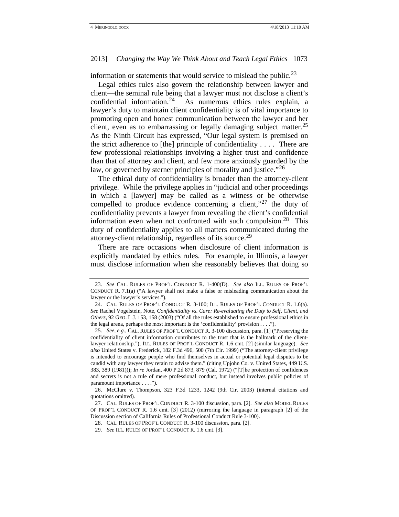information or statements that would service to mislead the public.<sup>[23](#page-5-8)</sup>

Legal ethics rules also govern the relationship between lawyer and client—the seminal rule being that a lawyer must not disclose a client's confidential information.<sup>24</sup> As numerous ethics rules explain, a As numerous ethics rules explain, a lawyer's duty to maintain client confidentiality is of vital importance to promoting open and honest communication between the lawyer and her client, even as to embarrassing or legally damaging subject matter. [25](#page-6-1)  As the Ninth Circuit has expressed, "Our legal system is premised on the strict adherence to [the] principle of confidentiality  $\dots$ . There are few professional relationships involving a higher trust and confidence than that of attorney and client, and few more anxiously guarded by the law, or governed by sterner principles of morality and justice."<sup>[26](#page-6-2)</sup>

The ethical duty of confidentiality is broader than the attorney-client privilege. While the privilege applies in "judicial and other proceedings in which a [lawyer] may be called as a witness or be otherwise compelled to produce evidence concerning a client,"<sup>[27](#page-6-3)</sup> the duty of confidentiality prevents a lawyer from revealing the client's confidential information even when not confronted with such compulsion.<sup>28</sup> This duty of confidentiality applies to all matters communicated during the attorney-client relationship, regardless of its source.<sup>[29](#page-6-5)</sup>

There are rare occasions when disclosure of client information is explicitly mandated by ethics rules. For example, in Illinois, a lawyer must disclose information when she reasonably believes that doing so

<sup>23.</sup> *See* CAL. RULES OF PROF'L CONDUCT R. 1-400(D). *See also* ILL. RULES OF PROF'L CONDUCT R. 7.1(a) ("A lawyer shall not make a false or misleading communication about the lawyer or the lawyer's services.").

<span id="page-6-0"></span><sup>24.</sup> CAL. RULES OF PROF'L CONDUCT R. 3-100; ILL. RULES OF PROF'L CONDUCT R. 1.6(a). *See* Rachel Vogelstein, Note, *Confidentiality vs. Care: Re-evaluating the Duty to Self, Client, and Others*, 92 GEO. L.J. 153, 158 (2003) ("Of all the rules established to ensure professional ethics in the legal arena, perhaps the most important is the 'confidentiality' provision . . . .").

<span id="page-6-6"></span><span id="page-6-1"></span><sup>25.</sup> *See, e.g.*, CAL. RULES OF PROF'L CONDUCT R. 3-100 discussion, para. [1] ("Preserving the confidentiality of client information contributes to the trust that is the hallmark of the clientlawyer relationship."); ILL. RULES OF PROF'L CONDUCT R. 1.6 cmt. [2] (similar language). *See also* United States v. Frederick, 182 F.3d 496, 500 (7th Cir. 1999) ("The attorney-client privilege is intended to encourage people who find themselves in actual or potential legal disputes to be candid with any lawyer they retain to advise them." (citing Upjohn Co. v. United States, 449 U.S. 383, 389 (1981))); *In re* Jordan, 400 P.2d 873, 879 (Cal. 1972) ("[T]he protection of confidences and secrets is not a rule of mere professional conduct, but instead involves public policies of paramount importance . . . .").

<span id="page-6-2"></span><sup>26.</sup> McClure v. Thompson, 323 F.3d 1233, 1242 (9th Cir. 2003) (internal citations and quotations omitted).

<span id="page-6-4"></span><span id="page-6-3"></span><sup>27.</sup> CAL. RULES OF PROF'L CONDUCT R. 3-100 discussion, para. [2]. *See also* MODEL RULES OF PROF'L CONDUCT R. 1.6 cmt. [3] (2012) (mirroring the language in paragraph [2] of the Discussion section of California Rules of Professional Conduct Rule 3-100).

<sup>28.</sup> CAL. RULES OF PROF'L CONDUCT R. 3-100 discussion, para. [2].

<span id="page-6-5"></span><sup>29.</sup> *See* ILL. RULES OF PROF'L CONDUCT R. 1.6 cmt. [3].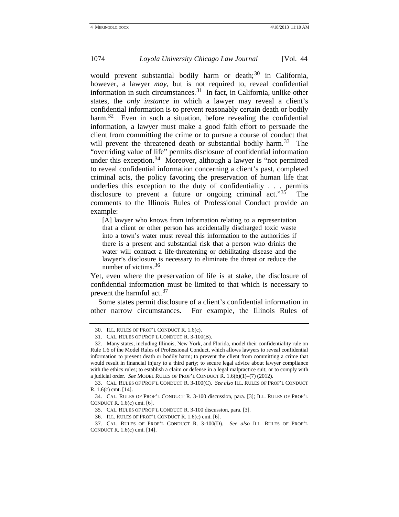would prevent substantial bodily harm or death; $30$  in California, however, a lawyer *may*, but is not required to, reveal confidential information in such circumstances.<sup>[31](#page-7-0)</sup> In fact, in California, unlike other states, the *only instance* in which a lawyer may reveal a client's confidential information is to prevent reasonably certain death or bodily harm.<sup>32</sup> Even in such a situation, before revealing the confidential information, a lawyer must make a good faith effort to persuade the client from committing the crime or to pursue a course of conduct that will prevent the threatened death or substantial bodily harm.<sup>33</sup> The "overriding value of life" permits disclosure of confidential information under this exception.<sup>[34](#page-7-3)</sup> Moreover, although a lawyer is "not permitted to reveal confidential information concerning a client's past, completed criminal acts, the policy favoring the preservation of human life that underlies this exception to the duty of confidentiality . . . permits disclosure to prevent a future or ongoing criminal act."<sup>35</sup> The comments to the Illinois Rules of Professional Conduct provide an example:

[A] lawyer who knows from information relating to a representation that a client or other person has accidentally discharged toxic waste into a town's water must reveal this information to the authorities if there is a present and substantial risk that a person who drinks the water will contract a life-threatening or debilitating disease and the lawyer's disclosure is necessary to eliminate the threat or reduce the number of victims.<sup>[36](#page-7-5)</sup>

<span id="page-7-8"></span><span id="page-7-7"></span>Yet, even where the preservation of life is at stake, the disclosure of confidential information must be limited to that which is necessary to prevent the harmful act.<sup>[37](#page-7-6)</sup>

Some states permit disclosure of a client's confidential information in other narrow circumstances. For example, the Illinois Rules of

<sup>30.</sup> ILL. RULES OF PROF'L CONDUCT R. 1.6(c).

<sup>31.</sup> CAL. RULES OF PROF'L CONDUCT R. 3-100(B).

<span id="page-7-1"></span><span id="page-7-0"></span><sup>32.</sup> Many states, including Illinois, New York, and Florida, model their confidentiality rule on Rule 1.6 of the Model Rules of Professional Conduct, which allows lawyers to reveal confidential information to prevent death or bodily harm; to prevent the client from committing a crime that would result in financial injury to a third party; to secure legal advice about lawyer compliance with the ethics rules; to establish a claim or defense in a legal malpractice suit; or to comply with a judicial order. *See* MODEL RULES OF PROF'L CONDUCT R. 1.6(b)(1)–(7) (2012).

<span id="page-7-2"></span><sup>33.</sup> CAL. RULES OF PROF'L CONDUCT R. 3-100(C). *See also* ILL. RULES OF PROF'L CONDUCT R. 1.6(c) cmt. [14].

<span id="page-7-4"></span><span id="page-7-3"></span><sup>34.</sup> CAL. RULES OF PROF'L CONDUCT R. 3-100 discussion, para. [3]; ILL. RULES OF PROF'L CONDUCT R. 1.6(c) cmt. [6].

<sup>35.</sup> CAL. RULES OF PROF'L CONDUCT R. 3-100 discussion, para. [3].

<sup>36.</sup> ILL. RULES OF PROF'L CONDUCT R. 1.6(c) cmt. [6].

<span id="page-7-6"></span><span id="page-7-5"></span><sup>37.</sup> CAL. RULES OF PROF'L CONDUCT R. 3-100(D). *See also* ILL. RULES OF PROF'L CONDUCT R. 1.6(c) cmt. [14].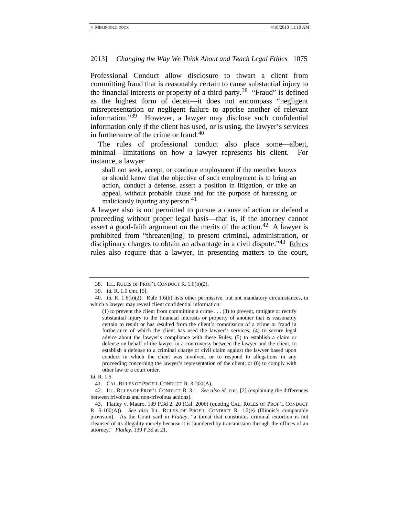Professional Conduct allow disclosure to thwart a client from committing fraud that is reasonably certain to cause substantial injury to the financial interests or property of a third party.<sup>38</sup> "Fraud" is defined as the highest form of deceit—it does not encompass "negligent misrepresentation or negligent failure to apprise another of relevant information."[39](#page-8-0) However, a lawyer may disclose such confidential information only if the client has used, or is using, the lawyer's services in furtherance of the crime or fraud. [40](#page-8-1)

The rules of professional conduct also place some—albeit, minimal—limitations on how a lawyer represents his client. For instance, a lawyer

shall not seek, accept, or continue employment if the member knows or should know that the objective of such employment is to bring an action, conduct a defense, assert a position in litigation, or take an appeal, without probable cause and for the purpose of harassing or maliciously injuring any person.<sup>[41](#page-8-2)</sup>

A lawyer also is not permitted to pursue a cause of action or defend a proceeding without proper legal basis—that is, if the attorney cannot assert a good-faith argument on the merits of the action.<sup>42</sup> A lawyer is prohibited from "threaten[ing] to present criminal, administration, or disciplinary charges to obtain an advantage in a civil dispute."<sup>43</sup> Ethics rules also require that a lawyer, in presenting matters to the court,

<sup>38.</sup> ILL. RULES OF PROF'L CONDUCT R. 1.6(b)(2).

<sup>39.</sup> *Id.* R. 1.0 cmt. [5].

<span id="page-8-5"></span><span id="page-8-1"></span><span id="page-8-0"></span><sup>40.</sup> *Id.* R. 1.6(b)(2). Rule 1.6(b) lists other permissive, but not mandatory circumstances, in which a lawyer may reveal client confidential information:

 $(1)$  to prevent the client from committing a crime . . . (3) to prevent, mitigate or rectify substantial injury to the financial interests or property of another that is reasonably certain to result or has resulted from the client's commission of a crime or fraud in furtherance of which the client has used the lawyer's services; (4) to secure legal advice about the lawyer's compliance with these Rules; (5) to establish a claim or defense on behalf of the lawyer in a controversy between the lawyer and the client, to establish a defense to a criminal charge or civil claim against the lawyer based upon conduct in which the client was involved, or to respond to allegations in any proceeding concerning the lawyer's representation of the client; or (6) to comply with other law or a court order.

*Id.* R. 1.6.

<sup>41.</sup> CAL. RULES OF PROF'L CONDUCT R. 3-200(A).

<span id="page-8-3"></span><span id="page-8-2"></span><sup>42.</sup> ILL. RULES OF PROF'L CONDUCT R. 3.1. *See also id.* cmt. [2] (explaining the differences between frivolous and non-frivolous actions).

<span id="page-8-4"></span><sup>43.</sup> Flatley v. Mauro, 139 P.3d 2, 20 (Cal. 2006) (quoting CAL. RULES OF PROF'L CONDUCT R. 5-100(A)). *See also* ILL. RULES OF PROF'L CONDUCT R. 1.2(e) (Illinois's comparable provision). As the Court said in *Flatley*, "a threat that constitutes criminal extortion is not cleansed of its illegality merely because it is laundered by transmission through the offices of an attorney." *Flatley*, 139 P.3d at 21.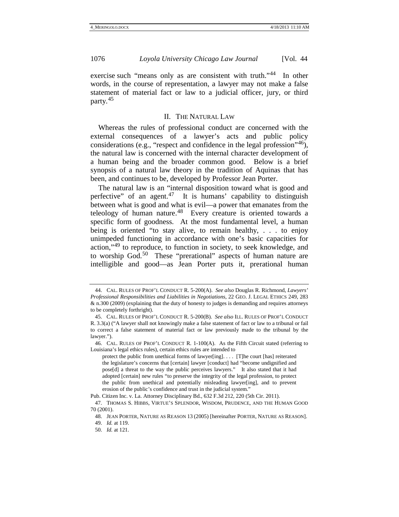exercise such "means only as are consistent with truth."<sup>[44](#page-8-5)</sup> In other words, in the course of representation, a lawyer may not make a false statement of material fact or law to a judicial officer, jury, or third party.[45](#page-9-0)

#### <span id="page-9-6"></span>II. THE NATURAL LAW

Whereas the rules of professional conduct are concerned with the external consequences of a lawyer's acts and public policy considerations (e.g., "respect and confidence in the legal profession"[46](#page-9-1)), the natural law is concerned with the internal character development of a human being and the broader common good. Below is a brief synopsis of a natural law theory in the tradition of Aquinas that has been, and continues to be, developed by Professor Jean Porter.

The natural law is an "internal disposition toward what is good and perfective" of an agent.<sup>[47](#page-9-2)</sup> It is humans' capability to distinguish between what is good and what is evil—a power that emanates from the teleology of human nature. [48](#page-9-3) Every creature is oriented towards a specific form of goodness. At the most fundamental level, a human being is oriented "to stay alive, to remain healthy, . . . to enjoy unimpeded functioning in accordance with one's basic capacities for action,"[49](#page-9-4) to reproduce, to function in society, to seek knowledge, and to worship God.<sup>[50](#page-9-5)</sup> These "prerational" aspects of human nature are intelligible and good—as Jean Porter puts it, prerational human

<sup>44.</sup> CAL. RULES OF PROF'L CONDUCT R. 5-200(A). *See also* Douglas R. Richmond, *Lawyers' Professional Responsibilities and Liabilities in Negotiations*, 22 GEO. J. LEGAL ETHICS 249, 283 & n.300 (2009) (explaining that the duty of honesty to judges is demanding and requires attorneys to be completely forthright).

<span id="page-9-7"></span><span id="page-9-0"></span><sup>45.</sup> CAL. RULES OF PROF'L CONDUCT R. 5-200(B). *See also* ILL. RULES OF PROF'L CONDUCT R. 3.3(a) ("A lawyer shall not knowingly make a false statement of fact or law to a tribunal or fail to correct a false statement of material fact or law previously made to the tribunal by the lawyer.").

<span id="page-9-1"></span><sup>46.</sup> CAL. RULES OF PROF'L CONDUCT R. 1-100(A). As the Fifth Circuit stated (referring to Louisiana's legal ethics rules), certain ethics rules are intended to

protect the public from unethical forms of lawyer[ing]. . . . [T]he court [has] reiterated the legislature's concerns that [certain] lawyer [conduct] had "become undignified and pose[d] a threat to the way the public perceives lawyers." It also stated that it had adopted [certain] new rules "to preserve the integrity of the legal profession, to protect the public from unethical and potentially misleading lawyer[ing], and to prevent erosion of the public's confidence and trust in the judicial system."

Pub. Citizen Inc. v. La. Attorney Disciplinary Bd., 632 F.3d 212, 220 (5th Cir. 2011).

<span id="page-9-5"></span><span id="page-9-4"></span><span id="page-9-3"></span><span id="page-9-2"></span><sup>47.</sup> THOMAS S. HIBBS, VIRTUE'S SPLENDOR, WISDOM, PRUDENCE, AND THE HUMAN GOOD 70 (2001).

<sup>48.</sup> JEAN PORTER, NATURE AS REASON 13 (2005) [hereinafter PORTER, NATURE AS REASON].

<sup>49.</sup> *Id.* at 119.

<sup>50.</sup> *Id.* at 121.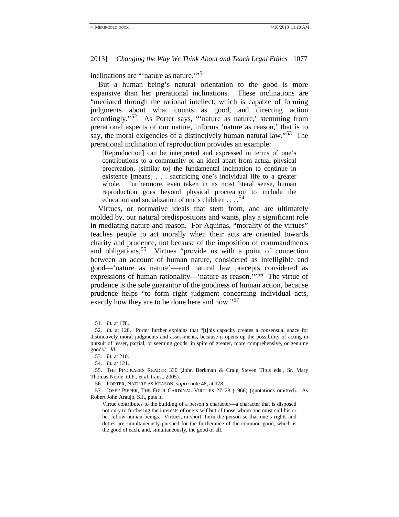inclinations are "'nature as nature."<sup>[51](#page-9-7)</sup>

But a human being's natural orientation to the good is more expansive than her prerational inclinations. These inclinations are "mediated through the rational intellect, which is capable of forming judgments about what counts as good, and directing action accordingly."[52](#page-10-0) As Porter says, "'nature as nature,' stemming from prerational aspects of our nature, informs 'nature as reason,' that is to say, the moral exigencies of a distinctively human natural law."<sup>[53](#page-10-1)</sup> The prerational inclination of reproduction provides an example:

[Reproduction] can be interpreted and expressed in terms of one's contributions to a community or an ideal apart from actual physical procreation, [similar to] the fundamental inclination to continue in existence [means] . . . sacrificing one's individual life to a greater whole. Furthermore, even taken in its most literal sense, human reproduction goes beyond physical procreation to include the education and socialization of one's children  $\ldots$ <sup>[54](#page-10-2)</sup>

Virtues, or normative ideals that stem from, and are ultimately molded by, our natural predispositions and wants, play a significant role in mediating nature and reason. For Aquinas, "morality of the virtues" teaches people to act morally when their acts are oriented towards charity and prudence, not because of the imposition of commandments and obligations.<sup>55</sup> Virtues "provide us with a point of connection between an account of human nature, considered as intelligible and good—'nature as nature'—and natural law precepts considered as expressions of human rationality—'nature as reason."<sup>56</sup> The virtue of prudence is the sole guarantor of the goodness of human action, because prudence helps "to form right judgment concerning individual acts, exactly how they are to be done here and now."<sup>[57](#page-10-5)</sup>

<span id="page-10-6"></span><sup>51.</sup> *Id.* at 178.

<span id="page-10-7"></span><span id="page-10-0"></span><sup>52.</sup> *Id.* at 120. Porter further explains that "[t]his capacity creates a consensual space for distinctively moral judgments and assessments, because it opens up the possibility of acting in pursuit of lesser, partial, or seeming goods, in spite of greater, more comprehensive, or genuine goods." *Id.*

<sup>53.</sup> *Id.* at 210.

<sup>54.</sup> *Id.* at 121.

<span id="page-10-3"></span><span id="page-10-2"></span><span id="page-10-1"></span><sup>55.</sup> THE PINCKAERS READER 330 (John Berkman & Craig Steven Titus eds., Sr. Mary Thomas Noble, O.P., et al. trans., 2005).

<sup>56.</sup> PORTER, NATURE AS REASON, *supra* not[e 48,](#page-9-6) at 178.

<span id="page-10-5"></span><span id="page-10-4"></span><sup>57.</sup> JOSEF PIEPER, THE FOUR CARDINAL VIRTUES 27–28 (1966) (quotations omitted). As Robert John Araujo, S.J., puts it,

Virtue contributes to the building of a person's character—a character that is disposed not only to furthering the interests of one's self but of those whom one must call his or her fellow human beings. Virtues, in short, form the person so that one's rights and duties are simultaneously pursued for the furtherance of the common good, which is the good of each, and, simultaneously, the good of all.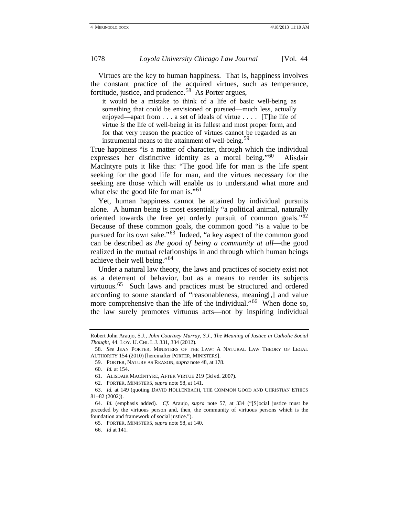Virtues are the key to human happiness. That is, happiness involves the constant practice of the acquired virtues, such as temperance, fortitude, justice, and prudence.<sup>58</sup> As Porter argues,

<span id="page-11-0"></span>it would be a mistake to think of a life of basic well-being as something that could be envisioned or pursued—much less, actually enjoyed—apart from . . . a set of ideals of virtue . . . . [T]he life of virtue *is* the life of well-being in its fullest and most proper form, and for that very reason the practice of virtues cannot be regarded as an instrumental means to the attainment of well-being.<sup>59</sup>

True happiness "is a matter of character, through which the individual expresses her distinctive identity as a moral being."<sup>[60](#page-11-2)</sup> Alisdair MacIntyre puts it like this: "The good life for man is the life spent seeking for the good life for man, and the virtues necessary for the seeking are those which will enable us to understand what more and what else the good life for man is."<sup>[61](#page-11-3)</sup>

Yet, human happiness cannot be attained by individual pursuits alone. A human being is most essentially "a political animal, naturally oriented towards the free yet orderly pursuit of common goals." $62$ Because of these common goals, the common good "is a value to be pursued for its own sake."<sup>[63](#page-11-5)</sup> Indeed, "a key aspect of the common good can be described as *the good of being a community at all*—the good realized in the mutual relationships in and through which human beings achieve their well being."[64](#page-11-6)

Under a natural law theory, the laws and practices of society exist not as a deterrent of behavior, but as a means to render its subjects virtuous.<sup>65</sup> Such laws and practices must be structured and ordered according to some standard of "reasonableness, meaning[,] and value more comprehensive than the life of the individual."<sup>[66](#page-11-8)</sup> When done so, the law surely promotes virtuous acts—not by inspiring individual

Robert John Araujo, S.J., *John Courtney Murray, S.J., The Meaning of Justice in Catholic Social Thought*, 44. LOY. U. CHI. L.J. 331, 334 (2012).

<span id="page-11-9"></span><span id="page-11-2"></span><span id="page-11-1"></span><sup>58.</sup> *See* JEAN PORTER, MINISTERS OF THE LAW: A NATURAL LAW THEORY OF LEGAL AUTHORITY 154 (2010) [hereinafter PORTER, MINISTERS].

<sup>59.</sup> PORTER, NATURE AS REASON, *supra* not[e 48,](#page-9-6) at 178.

<sup>60.</sup> *Id.* at 154.

<sup>61.</sup> ALISDAIR MACINTYRE, AFTER VIRTUE 219 (3d ed. 2007).

<sup>62.</sup> PORTER, MINISTERS, *supra* note [58,](#page-11-0) at 141.

<span id="page-11-5"></span><span id="page-11-4"></span><span id="page-11-3"></span><sup>63.</sup> *Id.* at 149 (quoting DAVID HOLLENBACH, THE COMMON GOOD AND CHRISTIAN ETHICS 81–82 (2002)).

<span id="page-11-8"></span><span id="page-11-7"></span><span id="page-11-6"></span><sup>64.</sup> *Id.* (emphasis added). *Cf.* Araujo, *supra* note [57,](#page-10-6) at 334 ("[S]ocial justice must be preceded by the virtuous person and, then, the community of virtuous persons which is the foundation and framework of social justice.").

<sup>65.</sup> PORTER, MINISTERS, *supra* note [58,](#page-11-0) at 140.

<sup>66.</sup> *Id* at 141.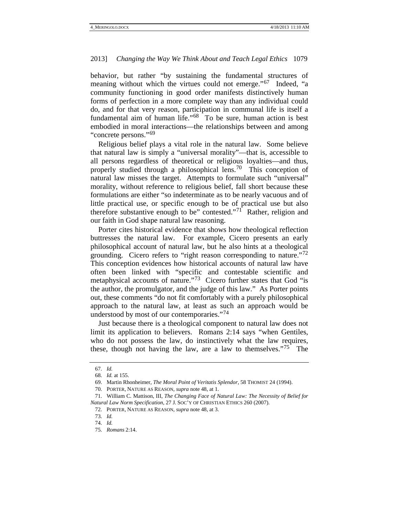behavior, but rather "by sustaining the fundamental structures of meaning without which the virtues could not emerge."<sup>67</sup> Indeed, "a community functioning in good order manifests distinctively human forms of perfection in a more complete way than any individual could do, and for that very reason, participation in communal life is itself a fundamental aim of human life."<sup>[68](#page-12-0)</sup> To be sure, human action is best embodied in moral interactions—the relationships between and among "concrete persons."<sup>[69](#page-12-1)</sup>

Religious belief plays a vital role in the natural law. Some believe that natural law is simply a "universal morality"—that is, accessible to all persons regardless of theoretical or religious loyalties—and thus, properly studied through a philosophical lens.<sup>[70](#page-12-2)</sup> This conception of natural law misses the target. Attempts to formulate such "universal" morality, without reference to religious belief, fall short because these formulations are either "so indeterminate as to be nearly vacuous and of little practical use, or specific enough to be of practical use but also therefore substantive enough to be" contested."<sup>[71](#page-12-3)</sup> Rather, religion and our faith in God shape natural law reasoning.

Porter cites historical evidence that shows how theological reflection buttresses the natural law. For example, Cicero presents an early philosophical account of natural law, but he also hints at a theological grounding. Cicero refers to "right reason corresponding to nature."<sup>72</sup> This conception evidences how historical accounts of natural law have often been linked with "specific and contestable scientific and metaphysical accounts of nature."<sup>[73](#page-12-5)</sup> Cicero further states that God "is the author, the promulgator, and the judge of this law." As Porter points out, these comments "do not fit comfortably with a purely philosophical approach to the natural law, at least as such an approach would be understood by most of our contemporaries."[74](#page-12-6)

Just because there is a theological component to natural law does not limit its application to believers. Romans 2:14 says "when Gentiles, who do not possess the law, do instinctively what the law requires, these, though not having the law, are a law to themselves.<sup> $75$ </sup> The

<sup>67.</sup> *Id.*

<sup>68.</sup> *Id.* at 155.

<sup>69.</sup> Martin Rhonheimer, *The Moral Point of Veritatis Splendor*, 58 THOMIST 24 (1994).

<sup>70.</sup> PORTER, NATURE AS REASON, *supra* not[e 48,](#page-9-6) at 1.

<span id="page-12-5"></span><span id="page-12-4"></span><span id="page-12-3"></span><span id="page-12-2"></span><span id="page-12-1"></span><span id="page-12-0"></span><sup>71.</sup> William C. Mattison, III, *The Changing Face of Natural Law: The Necessity of Belief for Natural Law Norm Specification*, 27 J. SOC'Y OF CHRISTIAN ETHICS 260 (2007).

<sup>72.</sup> PORTER, NATURE AS REASON, *supra* not[e 48,](#page-9-6) at 3.

<span id="page-12-6"></span><sup>73.</sup> *Id.*

<span id="page-12-7"></span><sup>74.</sup> *Id.*

<sup>75.</sup> *Romans* 2:14.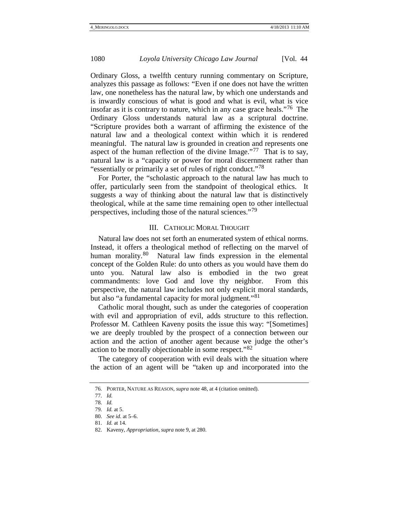Ordinary Gloss, a twelfth century running commentary on Scripture, analyzes this passage as follows: "Even if one does not have the written law, one nonetheless has the natural law, by which one understands and is inwardly conscious of what is good and what is evil, what is vice insofar as it is contrary to nature, which in any case grace heals."<sup>[76](#page-12-2)</sup> The Ordinary Gloss understands natural law as a scriptural doctrine. "Scripture provides both a warrant of affirming the existence of the natural law and a theological context within which it is rendered meaningful. The natural law is grounded in creation and represents one aspect of the human reflection of the divine Image."<sup>[77](#page-13-0)</sup> That is to say, natural law is a "capacity or power for moral discernment rather than "essentially or primarily a set of rules of right conduct."<sup>[78](#page-13-1)</sup>

For Porter, the "scholastic approach to the natural law has much to offer, particularly seen from the standpoint of theological ethics. It suggests a way of thinking about the natural law that is distinctively theological, while at the same time remaining open to other intellectual perspectives, including those of the natural sciences."<sup>[79](#page-13-2)</sup>

### III. CATHOLIC MORAL THOUGHT

Natural law does not set forth an enumerated system of ethical norms. Instead, it offers a theological method of reflecting on the marvel of human morality.<sup>[80](#page-13-3)</sup> Natural law finds expression in the elemental concept of the Golden Rule: do unto others as you would have them do unto you. Natural law also is embodied in the two great commandments: love God and love thy neighbor. From this perspective, the natural law includes not only explicit moral standards, but also "a fundamental capacity for moral judgment."<sup>[81](#page-13-4)</sup>

Catholic moral thought, such as under the categories of cooperation with evil and appropriation of evil, adds structure to this reflection. Professor M. Cathleen Kaveny posits the issue this way: "[Sometimes] we are deeply troubled by the prospect of a connection between our action and the action of another agent because we judge the other's action to be morally objectionable in some respect."<sup>[82](#page-13-5)</sup>

<span id="page-13-6"></span>The category of cooperation with evil deals with the situation where the action of an agent will be "taken up and incorporated into the

<sup>76.</sup> PORTER, NATURE AS REASON, *supra* not[e 48,](#page-9-6) at 4 (citation omitted).

<span id="page-13-1"></span><span id="page-13-0"></span><sup>77.</sup> *Id.*

<sup>78.</sup> *Id.*

<span id="page-13-2"></span><sup>79.</sup> *Id.* at 5.

<span id="page-13-3"></span><sup>80.</sup> *See id.* at 5–6.

<sup>81.</sup> *Id.* at 14.

<span id="page-13-5"></span><span id="page-13-4"></span><sup>82.</sup> Kaveny, *Appropriation*, *supra* not[e 9,](#page-3-5) at 280.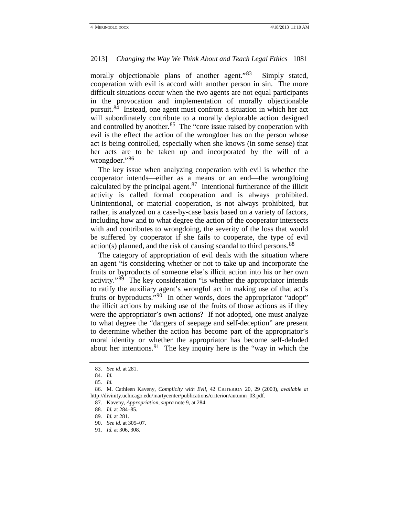morally objectionable plans of another agent."<sup>83</sup> Simply stated, cooperation with evil is accord with another person in sin. The more difficult situations occur when the two agents are not equal participants in the provocation and implementation of morally objectionable pursuit.<sup>84</sup> Instead, one agent must confront a situation in which her act will subordinately contribute to a morally deplorable action designed and controlled by another.<sup>[85](#page-14-1)</sup> The "core issue raised by cooperation with evil is the effect the action of the wrongdoer has on the person whose act is being controlled, especially when she knows (in some sense) that her acts are to be taken up and incorporated by the will of a wrongdoer."[86](#page-14-2)

The key issue when analyzing cooperation with evil is whether the cooperator intends—either as a means or an end—the wrongdoing calculated by the principal agent. $87$  Intentional furtherance of the illicit activity is called formal cooperation and is always prohibited. Unintentional, or material cooperation, is not always prohibited, but rather, is analyzed on a case-by-case basis based on a variety of factors, including how and to what degree the action of the cooperator intersects with and contributes to wrongdoing, the severity of the loss that would be suffered by cooperator if she fails to cooperate, the type of evil  $action(s)$  planned, and the risk of causing scandal to third persons.<sup>[88](#page-14-4)</sup>

The category of appropriation of evil deals with the situation where an agent "is considering whether or not to take up and incorporate the fruits or byproducts of someone else's illicit action into his or her own activity."[89](#page-14-5) The key consideration "is whether the appropriator intends to ratify the auxiliary agent's wrongful act in making use of that act's fruits or byproducts."<sup>[90](#page-14-6)</sup> In other words, does the appropriator "adopt" the illicit actions by making use of the fruits of those actions as if they were the appropriator's own actions? If not adopted, one must analyze to what degree the "dangers of seepage and self-deception" are present to determine whether the action has become part of the appropriator's moral identity or whether the appropriator has become self-deluded about her intentions.<sup>91</sup> The key inquiry here is the "way in which the

<sup>83.</sup> *See id.* at 281.

<sup>84.</sup> *Id.*

<sup>85.</sup> *Id.*

<span id="page-14-4"></span><span id="page-14-3"></span><span id="page-14-2"></span><span id="page-14-1"></span><span id="page-14-0"></span><sup>86.</sup> M. Cathleen Kaveny, *Complicity with Evil*, 42 CRITERION 20, 29 (2003), *available at*  http://divinity.uchicago.edu/martycenter/publications/criterion/autumn\_03.pdf.

<sup>87.</sup> Kaveny, *Appropriation*, *supra* not[e 9,](#page-3-5) at 284.

<span id="page-14-5"></span><sup>88.</sup> *Id.* at 284–85.

<span id="page-14-6"></span><sup>89.</sup> *Id.* at 281.

<sup>90.</sup> *See id.* at 305–07.

<span id="page-14-7"></span><sup>91.</sup> *Id.* at 306, 308.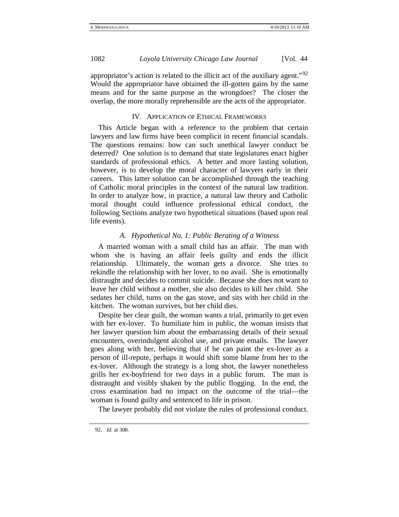appropriator's action is related to the illicit act of the auxiliary agent."[92](#page-14-7)  Would the appropriator have obtained the ill-gotten gains by the same means and for the same purpose as the wrongdoer? The closer the overlap, the more morally reprehensible are the acts of the appropriator.

## IV. APPLICATION OF ETHICAL FRAMEWORKS

This Article began with a reference to the problem that certain lawyers and law firms have been complicit in recent financial scandals. The questions remains: how can such unethical lawyer conduct be deterred? One solution is to demand that state legislatures enact higher standards of professional ethics. A better and more lasting solution, however, is to develop the moral character of lawyers early in their careers. This latter solution can be accomplished through the teaching of Catholic moral principles in the context of the natural law tradition. In order to analyze how, in practice, a natural law theory and Catholic moral thought could influence professional ethical conduct, the following Sections analyze two hypothetical situations (based upon real life events).

### *A. Hypothetical No. 1: Public Berating of a Witness*

A married woman with a small child has an affair. The man with whom she is having an affair feels guilty and ends the illicit relationship. Ultimately, the woman gets a divorce. She tries to rekindle the relationship with her lover, to no avail. She is emotionally distraught and decides to commit suicide. Because she does not want to leave her child without a mother, she also decides to kill her child. She sedates her child, turns on the gas stove, and sits with her child in the kitchen. The woman survives, but her child dies.

Despite her clear guilt, the woman wants a trial, primarily to get even with her ex-lover. To humiliate him in public, the woman insists that her lawyer question him about the embarrassing details of their sexual encounters, overindulgent alcohol use, and private emails. The lawyer goes along with her, believing that if he can paint the ex-lover as a person of ill-repute, perhaps it would shift some blame from her to the ex-lover. Although the strategy is a long shot, the lawyer nonetheless grills her ex-boyfriend for two days in a public forum. The man is distraught and visibly shaken by the public flogging. In the end, the cross examination had no impact on the outcome of the trial—the woman is found guilty and sentenced to life in prison.

The lawyer probably did not violate the rules of professional conduct.

<span id="page-15-0"></span><sup>92.</sup> *Id.* at 308.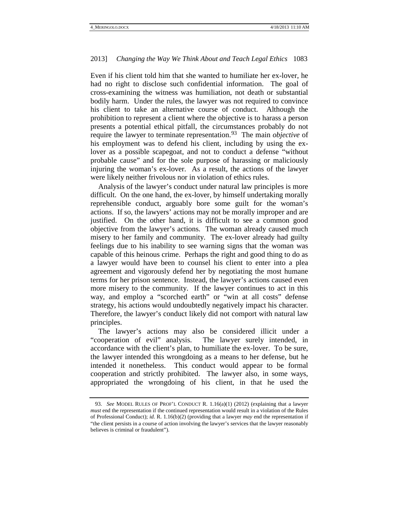Even if his client told him that she wanted to humiliate her ex-lover, he had no right to disclose such confidential information. The goal of cross-examining the witness was humiliation, not death or substantial bodily harm. Under the rules, the lawyer was not required to convince his client to take an alternative course of conduct. Although the prohibition to represent a client where the objective is to harass a person presents a potential ethical pitfall, the circumstances probably do not require the lawyer to terminate representation.<sup>93</sup> The main *objective* of his employment was to defend his client, including by using the exlover as a possible scapegoat, and not to conduct a defense "without probable cause" and for the sole purpose of harassing or maliciously injuring the woman's ex-lover. As a result, the actions of the lawyer were likely neither frivolous nor in violation of ethics rules.

Analysis of the lawyer's conduct under natural law principles is more difficult. On the one hand, the ex-lover, by himself undertaking morally reprehensible conduct, arguably bore some guilt for the woman's actions. If so, the lawyers' actions may not be morally improper and are justified. On the other hand, it is difficult to see a common good objective from the lawyer's actions. The woman already caused much misery to her family and community. The ex-lover already had guilty feelings due to his inability to see warning signs that the woman was capable of this heinous crime. Perhaps the right and good thing to do as a lawyer would have been to counsel his client to enter into a plea agreement and vigorously defend her by negotiating the most humane terms for her prison sentence. Instead, the lawyer's actions caused even more misery to the community. If the lawyer continues to act in this way, and employ a "scorched earth" or "win at all costs" defense strategy, his actions would undoubtedly negatively impact his character. Therefore, the lawyer's conduct likely did not comport with natural law principles.

The lawyer's actions may also be considered illicit under a "cooperation of evil" analysis. The lawyer surely intended, in accordance with the client's plan, to humiliate the ex-lover. To be sure, the lawyer intended this wrongdoing as a means to her defense, but he intended it nonetheless. This conduct would appear to be formal cooperation and strictly prohibited. The lawyer also, in some ways, appropriated the wrongdoing of his client, in that he used the

<span id="page-16-0"></span><sup>93.</sup> *See* MODEL RULES OF PROF'L CONDUCT R. 1.16(a)(1) (2012) (explaining that a lawyer *must* end the representation if the continued representation would result in a violation of the Rules of Professional Conduct); *id.* R. 1.16(b)(2) (providing that a lawyer *may* end the representation if "the client persists in a course of action involving the lawyer's services that the lawyer reasonably believes is criminal or fraudulent").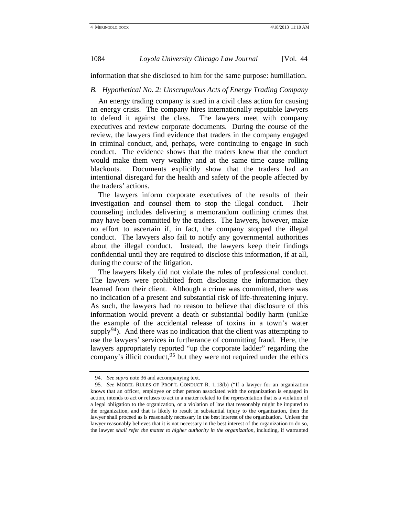information that she disclosed to him for the same purpose: humiliation.

# *B. Hypothetical No. 2: Unscrupulous Acts of Energy Trading Company*

An energy trading company is sued in a civil class action for causing an energy crisis. The company hires internationally reputable lawyers to defend it against the class. The lawyers meet with company executives and review corporate documents. During the course of the review, the lawyers find evidence that traders in the company engaged in criminal conduct, and, perhaps, were continuing to engage in such conduct. The evidence shows that the traders knew that the conduct would make them very wealthy and at the same time cause rolling blackouts. Documents explicitly show that the traders had an intentional disregard for the health and safety of the people affected by the traders' actions.

The lawyers inform corporate executives of the results of their investigation and counsel them to stop the illegal conduct. Their counseling includes delivering a memorandum outlining crimes that may have been committed by the traders. The lawyers, however, make no effort to ascertain if, in fact, the company stopped the illegal conduct. The lawyers also fail to notify any governmental authorities about the illegal conduct. Instead, the lawyers keep their findings confidential until they are required to disclose this information, if at all, during the course of the litigation.

The lawyers likely did not violate the rules of professional conduct. The lawyers were prohibited from disclosing the information they learned from their client. Although a crime was committed, there was no indication of a present and substantial risk of life-threatening injury. As such, the lawyers had no reason to believe that disclosure of this information would prevent a death or substantial bodily harm (unlike the example of the accidental release of toxins in a town's water supply<sup>94</sup>). And there was no indication that the client was attempting to use the lawyers' services in furtherance of committing fraud. Here, the lawyers appropriately reported "up the corporate ladder" regarding the company's illicit conduct,  $95$  but they were not required under the ethics

<sup>94.</sup> *See supra* note [36](#page-7-8) and accompanying text.

<span id="page-17-1"></span><span id="page-17-0"></span><sup>95.</sup> *See* MODEL RULES OF PROF'L CONDUCT R. 1.13(b) ("If a lawyer for an organization knows that an officer, employee or other person associated with the organization is engaged in action, intends to act or refuses to act in a matter related to the representation that is a violation of a legal obligation to the organization, or a violation of law that reasonably might be imputed to the organization, and that is likely to result in substantial injury to the organization, then the lawyer shall proceed as is reasonably necessary in the best interest of the organization. Unless the lawyer reasonably believes that it is not necessary in the best interest of the organization to do so, the lawyer *shall refer the matter to higher authority in the organization*, including, if warranted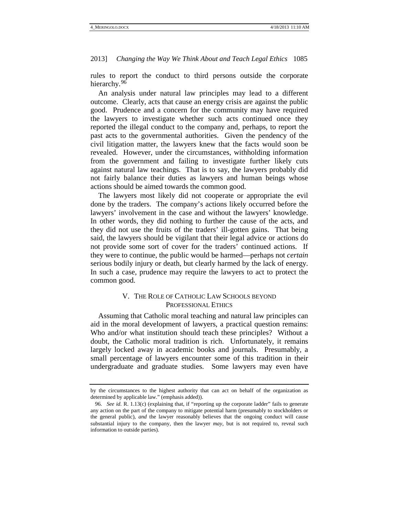rules to report the conduct to third persons outside the corporate hierarchy.<sup>[96](#page-17-1)</sup>

An analysis under natural law principles may lead to a different outcome. Clearly, acts that cause an energy crisis are against the public good. Prudence and a concern for the community may have required the lawyers to investigate whether such acts continued once they reported the illegal conduct to the company and, perhaps, to report the past acts to the governmental authorities. Given the pendency of the civil litigation matter, the lawyers knew that the facts would soon be revealed. However, under the circumstances, withholding information from the government and failing to investigate further likely cuts against natural law teachings. That is to say, the lawyers probably did not fairly balance their duties as lawyers and human beings whose actions should be aimed towards the common good.

The lawyers most likely did not cooperate or appropriate the evil done by the traders. The company's actions likely occurred before the lawyers' involvement in the case and without the lawyers' knowledge. In other words, they did nothing to further the cause of the acts, and they did not use the fruits of the traders' ill-gotten gains. That being said, the lawyers should be vigilant that their legal advice or actions do not provide some sort of cover for the traders' continued actions. If they were to continue, the public would be harmed—perhaps not *certain* serious bodily injury or death, but clearly harmed by the lack of energy. In such a case, prudence may require the lawyers to act to protect the common good.

# V. THE ROLE OF CATHOLIC LAW SCHOOLS BEYOND PROFESSIONAL ETHICS

Assuming that Catholic moral teaching and natural law principles can aid in the moral development of lawyers, a practical question remains: Who and/or what institution should teach these principles? Without a doubt, the Catholic moral tradition is rich. Unfortunately, it remains largely locked away in academic books and journals. Presumably, a small percentage of lawyers encounter some of this tradition in their undergraduate and graduate studies. Some lawyers may even have

<span id="page-18-0"></span>by the circumstances to the highest authority that can act on behalf of the organization as determined by applicable law." (emphasis added)).

<sup>96.</sup> *See id.* R. 1.13(c) (explaining that, if "reporting up the corporate ladder" fails to generate any action on the part of the company to mitigate potential harm (presumably to stockholders or the general public), *and* the lawyer reasonably believes that the ongoing conduct will cause substantial injury to the company, then the lawyer *may*, but is not required to, reveal such information to outside parties).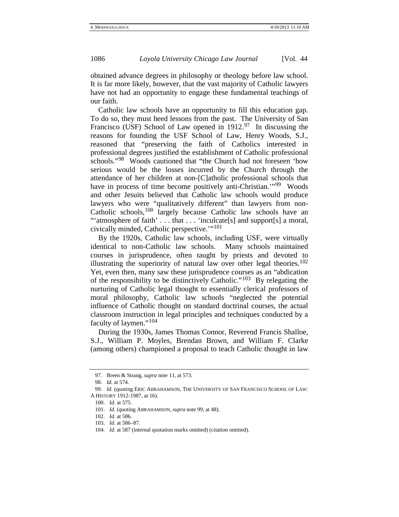obtained advance degrees in philosophy or theology before law school. It is far more likely, however, that the vast majority of Catholic lawyers have not had an opportunity to engage these fundamental teachings of our faith.

Catholic law schools have an opportunity to fill this education gap. To do so, they must heed lessons from the past. The University of San Francisco (USF) School of Law opened in  $1912.^{97}$  $1912.^{97}$  $1912.^{97}$  In discussing the reasons for founding the USF School of Law, Henry Woods, S.J., reasoned that "preserving the faith of Catholics interested in professional degrees justified the establishment of Catholic professional schools."<sup>98</sup> Woods cautioned that "the Church had not foreseen 'how serious would be the losses incurred by the Church through the attendance of her children at non-[C]atholic professional schools that have in process of time become positively anti-Christian."<sup>[99](#page-19-2)</sup> Woods and other Jesuits believed that Catholic law schools would produce lawyers who were "qualitatively different" than lawyers from non-Catholic schools,[100](#page-19-3) largely because Catholic law schools have an "'atmosphere of faith' . . . that . . . 'inculcate[s] and support[s] a moral, civically minded, Catholic perspective.'"[101](#page-19-4)

<span id="page-19-0"></span>By the 1920s, Catholic law schools, including USF, were virtually identical to non-Catholic law schools. Many schools maintained courses in jurisprudence, often taught by priests and devoted to illustrating the superiority of natural law over other legal theories.<sup>102</sup> Yet, even then, many saw these jurisprudence courses as an "abdication of the responsibility to be distinctively Catholic."<sup>103</sup> By relegating the nurturing of Catholic legal thought to essentially clerical professors of moral philosophy, Catholic law schools "neglected the potential influence of Catholic thought on standard doctrinal courses, the actual classroom instruction in legal principles and techniques conducted by a faculty of laymen."[104](#page-19-7)

During the 1930s, James Thomas Connor, Reverend Francis Shalloe, S.J., William P. Moyles, Brendan Brown, and William F. Clarke (among others) championed a proposal to teach Catholic thought in law

<sup>97.</sup> Breen & Strang, *supra* not[e 11,](#page-4-0) at 573.

<sup>98.</sup> *Id.* at 574.

<span id="page-19-8"></span><span id="page-19-5"></span><span id="page-19-4"></span><span id="page-19-3"></span><span id="page-19-2"></span><span id="page-19-1"></span><sup>99.</sup> *Id.* (quoting ERIC ABRAHAMSON, THE UNIVERSITY OF SAN FRANCISCO SCHOOL OF LAW: A HISTORY 1912-1987, at 16).

<sup>100.</sup> *Id.* at 575.

<sup>101.</sup> *Id.* (quoting ABRAHAMSON, *supra* note [99,](#page-19-0) at 48).

<sup>102.</sup> *Id.* at 586.

<sup>103.</sup> *Id.* at 586–87.

<span id="page-19-7"></span><span id="page-19-6"></span><sup>104.</sup> *Id.* at 587 (internal quotation marks omitted) (citation omitted).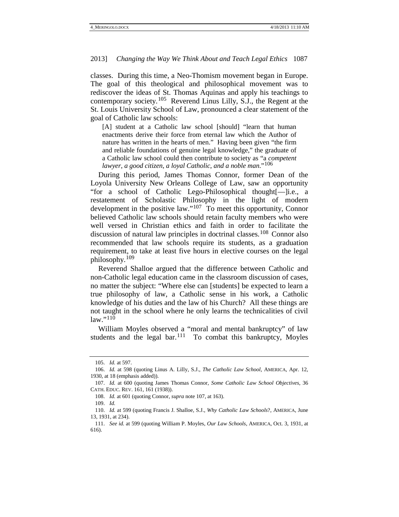classes. During this time, a Neo-Thomism movement began in Europe. The goal of this theological and philosophical movement was to rediscover the ideas of St. Thomas Aquinas and apply his teachings to contemporary society.<sup>[105](#page-19-8)</sup> Reverend Linus Lilly, S.J., the Regent at the St. Louis University School of Law, pronounced a clear statement of the goal of Catholic law schools:

[A] student at a Catholic law school [should] "learn that human enactments derive their force from eternal law which the Author of nature has written in the hearts of men." Having been given "the firm and reliable foundations of genuine legal knowledge," the graduate of a Catholic law school could then contribute to society as "a *competent lawyer*, *a good citizen*, *a loyal Catholic*, *and a noble man*."[106](#page-20-1)

<span id="page-20-0"></span>During this period, James Thomas Connor, former Dean of the Loyola University New Orleans College of Law, saw an opportunity "for a school of Catholic Lego-Philosophical thought[—]i.e., a restatement of Scholastic Philosophy in the light of modern development in the positive law."<sup>107</sup> To meet this opportunity, Connor believed Catholic law schools should retain faculty members who were well versed in Christian ethics and faith in order to facilitate the discussion of natural law principles in doctrinal classes.<sup>[108](#page-20-3)</sup> Connor also recommended that law schools require its students, as a graduation requirement, to take at least five hours in elective courses on the legal philosophy. [109](#page-20-4)

Reverend Shalloe argued that the difference between Catholic and non-Catholic legal education came in the classroom discussion of cases, no matter the subject: "Where else can [students] be expected to learn a true philosophy of law, a Catholic sense in his work, a Catholic knowledge of his duties and the law of his Church? All these things are not taught in the school where he only learns the technicalities of civil law."[110](#page-20-5)

William Moyles observed a "moral and mental bankruptcy" of law students and the legal bar.<sup>[111](#page-20-6)</sup> To combat this bankruptcy, Moyles

<sup>105.</sup> *Id.* at 597.

<span id="page-20-7"></span><span id="page-20-1"></span><sup>106.</sup> *Id.* at 598 (quoting Linus A. Lilly, S.J., *The Catholic Law School*, AMERICA, Apr. 12, 1930, at 18 (emphasis added)).

<span id="page-20-3"></span><span id="page-20-2"></span><sup>107.</sup> *Id.* at 600 (quoting James Thomas Connor, *Some Catholic Law School Objectives*, 36 CATH. EDUC. REV. 161, 161 (1938)).

<sup>108.</sup> *Id.* at 601 (quoting Connor, *supra* not[e 107,](#page-20-0) at 163).

<sup>109.</sup> *Id.*

<span id="page-20-5"></span><span id="page-20-4"></span><sup>110.</sup> *Id.* at 599 (quoting Francis J. Shalloe, S.J., *Why Catholic Law Schools*?, AMERICA, June 13, 1931, at 234).

<span id="page-20-6"></span><sup>111.</sup> *See id.* at 599 (quoting William P. Moyles, *Our Law Schools*, AMERICA, Oct. 3, 1931, at 616).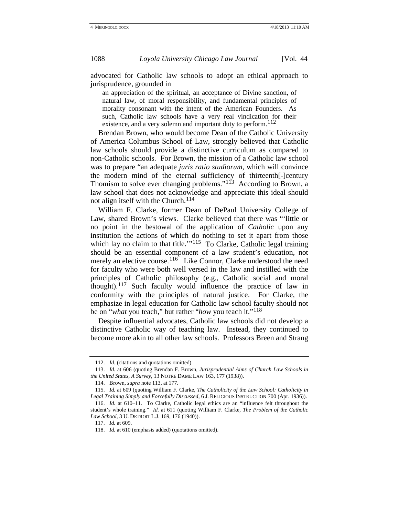advocated for Catholic law schools to adopt an ethical approach to jurisprudence, grounded in

an appreciation of the spiritual, an acceptance of Divine sanction, of natural law, of moral responsibility, and fundamental principles of morality consonant with the intent of the American Founders. As such, Catholic law schools have a very real vindication for their existence, and a very solemn and important duty to perform.  $^{112}$  $^{112}$  $^{112}$ 

Brendan Brown, who would become Dean of the Catholic University of America Columbus School of Law, strongly believed that Catholic law schools should provide a distinctive curriculum as compared to non-Catholic schools. For Brown, the mission of a Catholic law school was to prepare "an adequate *juris ratio studiorum*, which will convince the modern mind of the eternal sufficiency of thirteenth[-]century Thomism to solve ever changing problems."<sup>113</sup> According to Brown, a law school that does not acknowledge and appreciate this ideal should not align itself with the Church. [114](#page-21-2)

<span id="page-21-0"></span>William F. Clarke, former Dean of DePaul University College of Law, shared Brown's views. Clarke believed that there was "'little or no point in the bestowal of the application of *Catholic* upon any institution the actions of which do nothing to set it apart from those which lay no claim to that title. $115$  To Clarke, Catholic legal training should be an essential component of a law student's education, not merely an elective course.<sup>[116](#page-21-4)</sup> Like Connor, Clarke understood the need for faculty who were both well versed in the law and instilled with the principles of Catholic philosophy (e.g., Catholic social and moral thought).<sup>[117](#page-21-5)</sup> Such faculty would influence the practice of law in conformity with the principles of natural justice. For Clarke, the emphasize in legal education for Catholic law school faculty should not be on "*what* you teach," but rather "*how* you teach it."[118](#page-21-6)

Despite influential advocates, Catholic law schools did not develop a distinctive Catholic way of teaching law. Instead, they continued to become more akin to all other law schools. Professors Breen and Strang

<sup>112.</sup> *Id.* (citations and quotations omitted).

<span id="page-21-7"></span><span id="page-21-1"></span><sup>113.</sup> *Id.* at 606 (quoting Brendan F. Brown, *Jurisprudential Aims of Church Law Schools in the United States, A Survey*, 13 NOTRE DAME LAW 163, 177 (1938)).

<sup>114.</sup> Brown, *supra* not[e 113,](#page-21-0) at 177.

<span id="page-21-3"></span><span id="page-21-2"></span><sup>115.</sup> *Id.* at 609 (quoting William F. Clarke, *The Catholicity of the Law School: Catholicity in Legal Training Simply and Forcefully Discussed*, 6 J. RELIGIOUS INSTRUCTION 700 (Apr. 1936)).

<span id="page-21-6"></span><span id="page-21-5"></span><span id="page-21-4"></span><sup>116.</sup> *Id.* at 610–11. To Clarke, Catholic legal ethics are an "influence felt throughout the student's whole training." *Id.* at 611 (quoting William F. Clarke, *The Problem of the Catholic Law School*, 3 U. DETROIT L.J. 169, 176 (1940)).

<sup>117.</sup> *Id.* at 609.

<sup>118.</sup> *Id.* at 610 (emphasis added) (quotations omitted).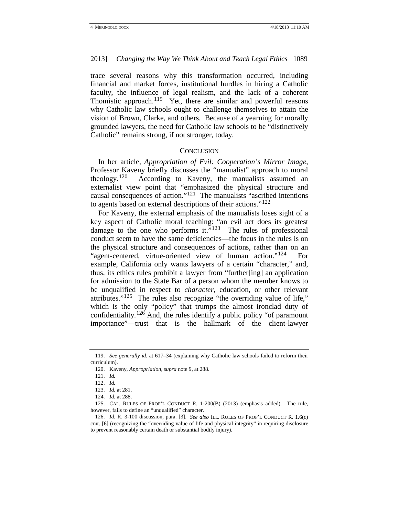trace several reasons why this transformation occurred, including financial and market forces, institutional hurdles in hiring a Catholic faculty, the influence of legal realism, and the lack of a coherent Thomistic approach.<sup>[119](#page-21-7)</sup> Yet, there are similar and powerful reasons why Catholic law schools ought to challenge themselves to attain the vision of Brown, Clarke, and others. Because of a yearning for morally grounded lawyers, the need for Catholic law schools to be "distinctively Catholic" remains strong, if not stronger, today.

### **CONCLUSION**

In her article, *Appropriation of Evil: Cooperation's Mirror Image*, Professor Kaveny briefly discusses the "manualist" approach to moral theology.<sup>120</sup> According to Kaveny, the manualists assumed an According to Kaveny, the manualists assumed an externalist view point that "emphasized the physical structure and causal consequences of action." $12\overline{1}$  The manualists "ascribed intentions" to agents based on external descriptions of their actions."[122](#page-22-2)

For Kaveny, the external emphasis of the manualists loses sight of a key aspect of Catholic moral teaching: "an evil act does its greatest damage to the one who performs it."<sup>[123](#page-22-3)</sup> The rules of professional conduct seem to have the same deficiencies—the focus in the rules is on the physical structure and consequences of actions, rather than on an "agent-centered, virtue-oriented view of human action."<sup>124</sup> For example, California only wants lawyers of a certain "character," and, thus, its ethics rules prohibit a lawyer from "further[ing] an application for admission to the State Bar of a person whom the member knows to be unqualified in respect to *character*, education, or other relevant attributes." $125$  The rules also recognize "the overriding value of life," which is the only "policy" that trumps the almost ironclad duty of confidentiality.<sup>[126](#page-22-6)</sup> And, the rules identify a public policy "of paramount" importance"—trust that is the hallmark of the client-lawyer

<span id="page-22-1"></span><span id="page-22-0"></span><sup>119.</sup> *See generally id.* at 617–34 (explaining why Catholic law schools failed to reform their curriculum).

<sup>120.</sup> Kaveny, *Appropriation*, *supra* not[e 9,](#page-3-5) at 288.

<sup>121.</sup> *Id.*

<sup>122.</sup> *Id.*

<sup>123.</sup> *Id.* at 281.

<sup>124.</sup> *Id.* at 288.

<span id="page-22-7"></span><span id="page-22-5"></span><span id="page-22-4"></span><span id="page-22-3"></span><span id="page-22-2"></span><sup>125.</sup> CAL. RULES OF PROF'L CONDUCT R. 1-200(B) (2013) (emphasis added). The rule, however, fails to define an "unqualified" character.

<span id="page-22-6"></span><sup>126.</sup> *Id.* R. 3-100 discussion, para. [3]. *See also* ILL. RULES OF PROF'L CONDUCT R. 1.6(c) cmt. [6] (recognizing the "overriding value of life and physical integrity" in requiring disclosure to prevent reasonably certain death or substantial bodily injury).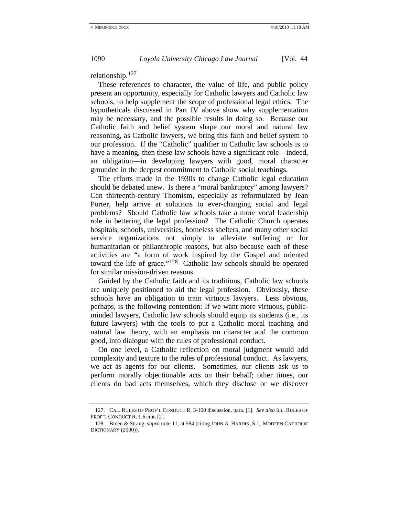relationship.<sup>[127](#page-22-7)</sup>

These references to character, the value of life, and public policy present an opportunity, especially for Catholic lawyers and Catholic law schools, to help supplement the scope of professional legal ethics. The hypotheticals discussed in Part IV above show why supplementation may be necessary, and the possible results in doing so. Because our Catholic faith and belief system shape our moral and natural law reasoning, as Catholic lawyers, we bring this faith and belief system to our profession. If the "Catholic" qualifier in Catholic law schools is to have a meaning, then these law schools have a significant role—indeed, an obligation—in developing lawyers with good, moral character grounded in the deepest commitment to Catholic social teachings.

The efforts made in the 1930s to change Catholic legal education should be debated anew. Is there a "moral bankruptcy" among lawyers? Can thirteenth-century Thomism, especially as reformulated by Jean Porter, help arrive at solutions to ever-changing social and legal problems? Should Catholic law schools take a more vocal leadership role in bettering the legal profession? The Catholic Church operates hospitals, schools, universities, homeless shelters, and many other social service organizations not simply to alleviate suffering or for humanitarian or philanthropic reasons, but also because each of these activities are "a form of work inspired by the Gospel and oriented toward the life of grace."[128](#page-23-0) Catholic law schools should be operated for similar mission-driven reasons.

Guided by the Catholic faith and its traditions, Catholic law schools are uniquely positioned to aid the legal profession. Obviously, these schools have an obligation to train virtuous lawyers. Less obvious, perhaps, is the following contention: If we want more virtuous, publicminded lawyers, Catholic law schools should equip its students (i.e., its future lawyers) with the tools to put a Catholic moral teaching and natural law theory, with an emphasis on character and the common good, into dialogue with the rules of professional conduct.

<span id="page-23-1"></span>On one level, a Catholic reflection on moral judgment would add complexity and texture to the rules of professional conduct. As lawyers, we act as agents for our clients. Sometimes, our clients ask us to perform morally objectionable acts on their behalf; other times, our clients do bad acts themselves, which they disclose or we discover

<sup>127.</sup> CAL. RULES OF PROF'L CONDUCT R. 3-100 discussion, para. [1]. *See also* ILL. RULES OF PROF'L CONDUCT R. 1.6 cmt. [2].

<span id="page-23-0"></span><sup>128.</sup> Breen & Strang, *supra* note [11,](#page-4-0) at 584 (citing JOHN A. HARDIN, S.J., MODERN CATHOLIC DICTIONARY (2000)).